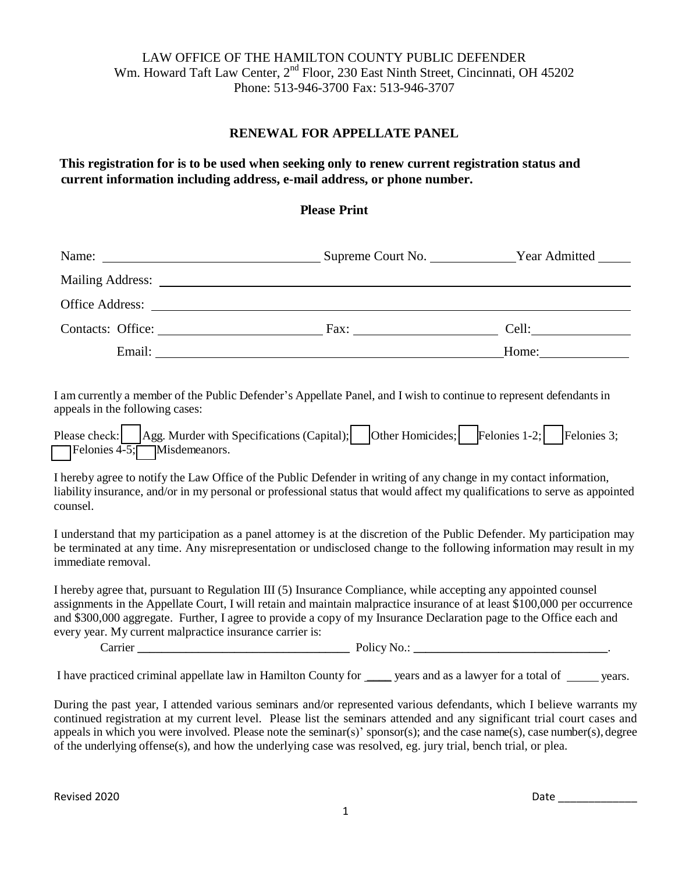### LAW OFFICE OF THE HAMILTON COUNTY PUBLIC DEFENDER Wm. Howard Taft Law Center, 2<sup>nd</sup> Floor, 230 East Ninth Street, Cincinnati, OH 45202 Phone: 513-946-3700 Fax: 513-946-3707

#### **RENEWAL FOR APPELLATE PANEL**

**This registration for is to be used when seeking only to renew current registration status and current information including address, e-mail address, or phone number.**

#### **Please Print**

|                                                                                                                                                                                                                                                                                                                                                                                                                                                                                                                                                                                                                                                                                                                                                                                                                                                                                                                                                                                                                                                                                                                                                                                                                              | Name: Name: Name: Name: Name: Name: Name: Name: Name: Name: Name: Name: Name: Name: Name: Name: Name: Name: Name: Name: Name: Name: Name: Name: Name: Name: Name: Name: Name: Name: Name: Name: Name: Name: Name: Name: Name: |  |  |  |  |  |
|------------------------------------------------------------------------------------------------------------------------------------------------------------------------------------------------------------------------------------------------------------------------------------------------------------------------------------------------------------------------------------------------------------------------------------------------------------------------------------------------------------------------------------------------------------------------------------------------------------------------------------------------------------------------------------------------------------------------------------------------------------------------------------------------------------------------------------------------------------------------------------------------------------------------------------------------------------------------------------------------------------------------------------------------------------------------------------------------------------------------------------------------------------------------------------------------------------------------------|-------------------------------------------------------------------------------------------------------------------------------------------------------------------------------------------------------------------------------|--|--|--|--|--|
|                                                                                                                                                                                                                                                                                                                                                                                                                                                                                                                                                                                                                                                                                                                                                                                                                                                                                                                                                                                                                                                                                                                                                                                                                              |                                                                                                                                                                                                                               |  |  |  |  |  |
|                                                                                                                                                                                                                                                                                                                                                                                                                                                                                                                                                                                                                                                                                                                                                                                                                                                                                                                                                                                                                                                                                                                                                                                                                              |                                                                                                                                                                                                                               |  |  |  |  |  |
|                                                                                                                                                                                                                                                                                                                                                                                                                                                                                                                                                                                                                                                                                                                                                                                                                                                                                                                                                                                                                                                                                                                                                                                                                              |                                                                                                                                                                                                                               |  |  |  |  |  |
|                                                                                                                                                                                                                                                                                                                                                                                                                                                                                                                                                                                                                                                                                                                                                                                                                                                                                                                                                                                                                                                                                                                                                                                                                              |                                                                                                                                                                                                                               |  |  |  |  |  |
| I am currently a member of the Public Defender's Appellate Panel, and I wish to continue to represent defendants in<br>appeals in the following cases:<br>Please check: Agg. Murder with Specifications (Capital); Other Homicides; Felonies 1-2; Felonies 3;<br>Felonies $4\overline{-5}$ ; Misdemeanors.<br>I hereby agree to notify the Law Office of the Public Defender in writing of any change in my contact information,<br>liability insurance, and/or in my personal or professional status that would affect my qualifications to serve as appointed<br>counsel.<br>I understand that my participation as a panel attorney is at the discretion of the Public Defender. My participation may<br>be terminated at any time. Any misrepresentation or undisclosed change to the following information may result in my<br>immediate removal.<br>I hereby agree that, pursuant to Regulation III (5) Insurance Compliance, while accepting any appointed counsel<br>assignments in the Appellate Court, I will retain and maintain malpractice insurance of at least \$100,000 per occurrence<br>and \$300,000 aggregate. Further, I agree to provide a copy of my Insurance Declaration page to the Office each and |                                                                                                                                                                                                                               |  |  |  |  |  |
|                                                                                                                                                                                                                                                                                                                                                                                                                                                                                                                                                                                                                                                                                                                                                                                                                                                                                                                                                                                                                                                                                                                                                                                                                              |                                                                                                                                                                                                                               |  |  |  |  |  |

I have practiced criminal appellate law in Hamilton County for \_\_\_\_ years and as a lawyer for a total of years.

During the past year, I attended various seminars and/or represented various defendants, which I believe warrants my continued registration at my current level. Please list the seminars attended and any significant trial court cases and appeals in which you were involved. Please note the seminar(s)' sponsor(s); and the case name(s), case number(s), degree of the underlying offense(s), and how the underlying case was resolved, eg. jury trial, bench trial, or plea.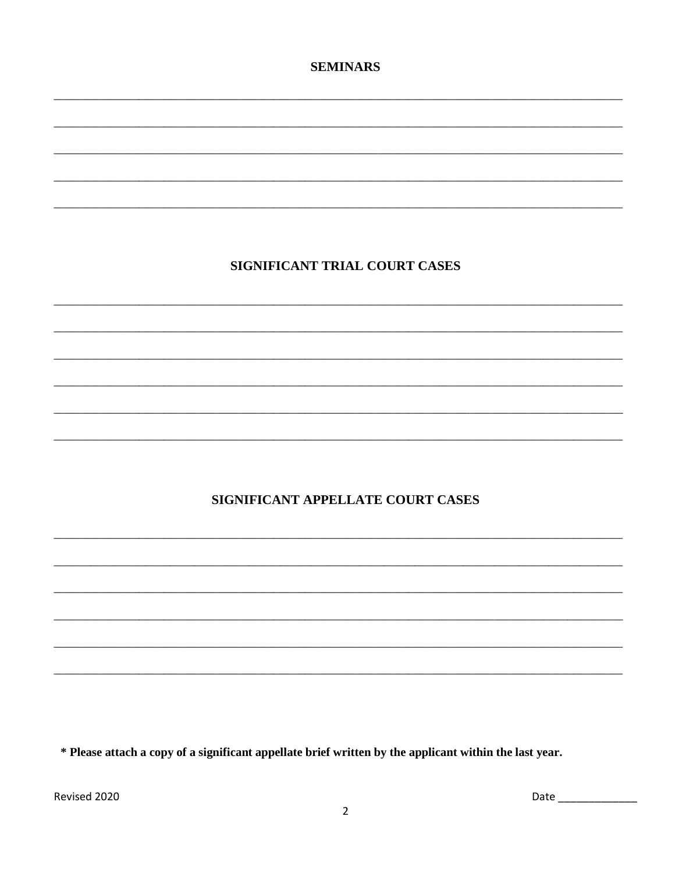### **SEMINARS**

# SIGNIFICANT TRIAL COURT CASES

# SIGNIFICANT APPELLATE COURT CASES

\* Please attach a copy of a significant appellate brief written by the applicant within the last year.

Revised 2020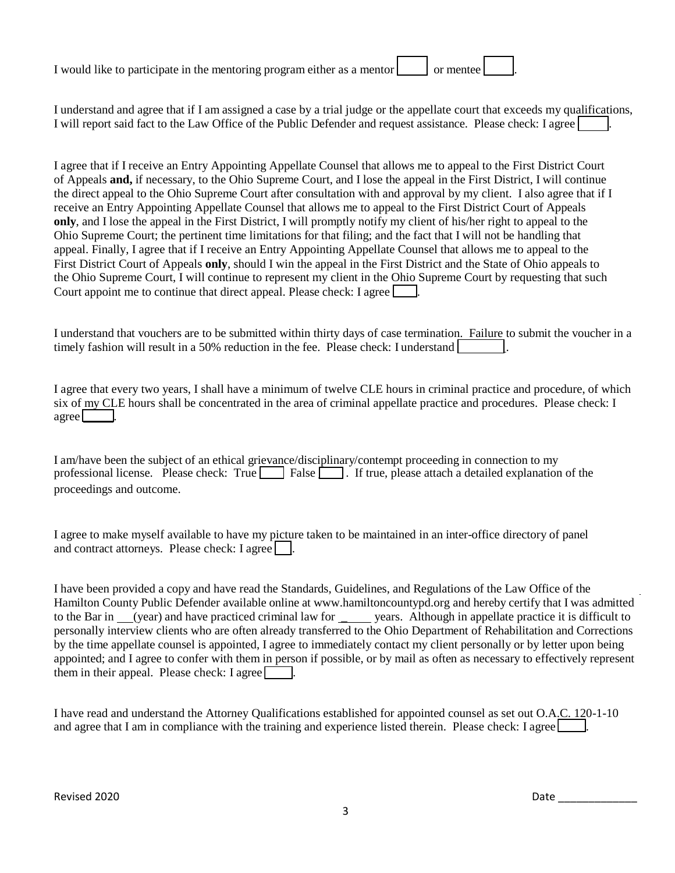| I would like to participate in the mentoring program either as a mentor | or mentee l |  |
|-------------------------------------------------------------------------|-------------|--|
|                                                                         |             |  |

I understand and agree that if I am assigned a case by a trial judge or the appellate court that exceeds my qualifications, I will report said fact to the Law Office of the Public Defender and request assistance. Please check: I agree

I agree that if I receive an Entry Appointing Appellate Counsel that allows me to appeal to the First District Court of Appeals **and,** if necessary, to the Ohio Supreme Court, and I lose the appeal in the First District, I will continue the direct appeal to the Ohio Supreme Court after consultation with and approval by my client. I also agree that if I receive an Entry Appointing Appellate Counsel that allows me to appeal to the First District Court of Appeals **only**, and I lose the appeal in the First District, I will promptly notify my client of his/her right to appeal to the Ohio Supreme Court; the pertinent time limitations for that filing; and the fact that I will not be handling that appeal. Finally, I agree that if I receive an Entry Appointing Appellate Counsel that allows me to appeal to the First District Court of Appeals **only**, should I win the appeal in the First District and the State of Ohio appeals to the Ohio Supreme Court, I will continue to represent my client in the Ohio Supreme Court by requesting that such Court appoint me to continue that direct appeal. Please check: I agree  $\Box$ .

I understand that vouchers are to be submitted within thirty days of case termination. Failure to submit the voucher in a timely fashion will result in a 50% reduction in the fee. Please check: I understand  $\Box$ 

I agree that every two years, I shall have a minimum of twelve CLE hours in criminal practice and procedure, of which six of my CLE hours shall be concentrated in the area of criminal appellate practice and procedures. Please check: I  $\angle$  agree

I am/have been the subject of an ethical grievance/disciplinary/contempt proceeding in connection to my professional license. Please check: True **False is a license**. If true, please attach a detailed explanation of the proceedings and outcome.

I agree to make myself available to have my picture taken to be maintained in an inter-office directory of panel and contract attorneys. Please check: I agree

I have been provided a copy and have read the Standards, Guidelines, and Regulations of the Law Office of the Hamilton County Public Defender available online at [www.hamiltoncountypd.org](http://www.hamiltoncountypd.org/) and hereby certify that I was admitted to the Bar in (year) and have practiced criminal law for vears. Although in appellate practice it is difficult to personally interview clients who are often already transferred to the Ohio Department of Rehabilitation and Corrections by the time appellate counsel is appointed, I agree to immediately contact my client personally or by letter upon being appointed; and I agree to confer with them in person if possible, or by mail as often as necessary to effectively represent them in their appeal. Please check: I agree  $\Box$ .

I have read and understand the Attorney Qualifications established for appointed counsel as set out O.A.C. 120-1-10 and agree that I am in compliance with the training and experience listed therein. Please check: I agree